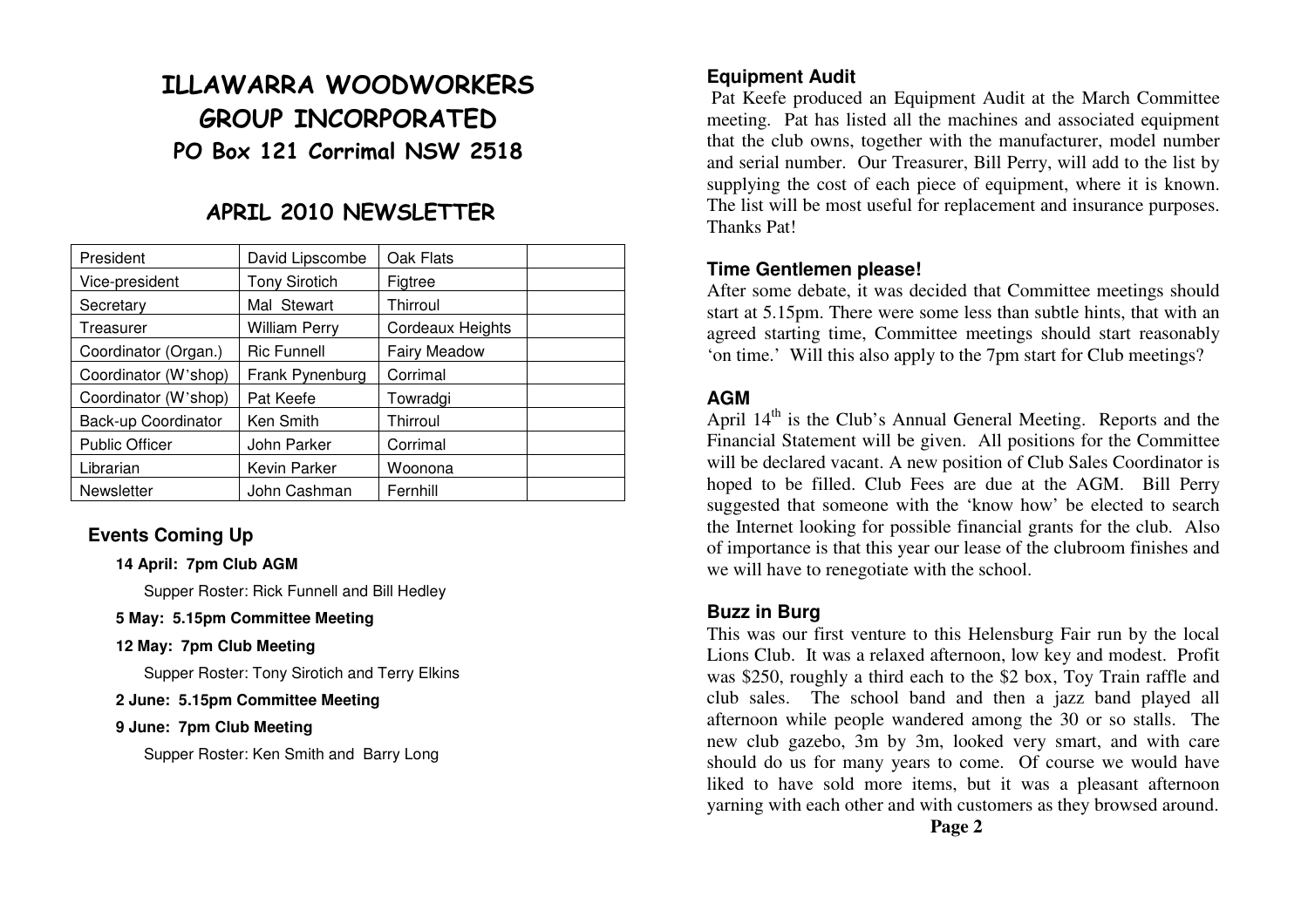# ILLAWARRA WOODWORKERS GROUP INCORPORATED PO Box 121 Corrimal NSW 2518

# APRIL 2010 NEWSLETTER

| President             | David Lipscombe      | Oak Flats               |  |
|-----------------------|----------------------|-------------------------|--|
| Vice-president        | <b>Tony Sirotich</b> | Figtree                 |  |
| Secretary             | Mal Stewart          | Thirroul                |  |
| Treasurer             | <b>William Perry</b> | <b>Cordeaux Heights</b> |  |
| Coordinator (Organ.)  | <b>Ric Funnell</b>   | <b>Fairy Meadow</b>     |  |
| Coordinator (W'shop)  | Frank Pynenburg      | Corrimal                |  |
| Coordinator (W'shop)  | Pat Keefe            | Towradgi                |  |
| Back-up Coordinator   | Ken Smith            | Thirroul                |  |
| <b>Public Officer</b> | John Parker          | Corrimal                |  |
| Librarian             | Kevin Parker         | Woonona                 |  |
| Newsletter            | John Cashman         | Fernhill                |  |

# **Events Coming Up**

#### **14 April: 7pm Club AGM**

Supper Roster: Rick Funnell and Bill Hedley

#### **5 May: 5.15pm Committee Meeting**

#### **12 May: 7pm Club Meeting**

Supper Roster: Tony Sirotich and Terry Elkins

#### **2 June: 5.15pm Committee Meeting**

#### **9 June: 7pm Club Meeting**

Supper Roster: Ken Smith and Barry Long

#### **Equipment Audit**

 Pat Keefe produced an Equipment Audit at the March Committee meeting. Pat has listed all the machines and associated equipment that the club owns, together with the manufacturer, model number and serial number. Our Treasurer, Bill Perry, will add to the list by supplying the cost of each piece of equipment, where it is known. The list will be most useful for replacement and insurance purposes. Thanks Pat!

#### **Time Gentlemen please!**

 After some debate, it was decided that Committee meetings should start at 5.15pm. There were some less than subtle hints, that with an agreed starting time, Committee meetings should start reasonably 'on time.' Will this also apply to the 7pm start for Club meetings?

# **AGM**

April 14<sup>th</sup> is the Club's Annual General Meeting. Reports and the Financial Statement will be given. All positions for the Committee will be declared vacant. A new position of Club Sales Coordinator is hoped to be filled. Club Fees are due at the AGM. Bill Perry suggested that someone with the 'know how' be elected to search the Internet looking for possible financial grants for the club. Also of importance is that this year our lease of the clubroom finishes and we will have to renegotiate with the school.

# **Buzz in Burg**

 This was our first venture to this Helensburg Fair run by the local Lions Club. It was a relaxed afternoon, low key and modest. Profit was \$250, roughly a third each to the \$2 box, Toy Train raffle and club sales. The school band and then a jazz band played all afternoon while people wandered among the 30 or so stalls. The new club gazebo, 3m by 3m, looked very smart, and with care should do us for many years to come. Of course we would have liked to have sold more items, but it was a pleasant afternoon yarning with each other and with customers as they browsed around.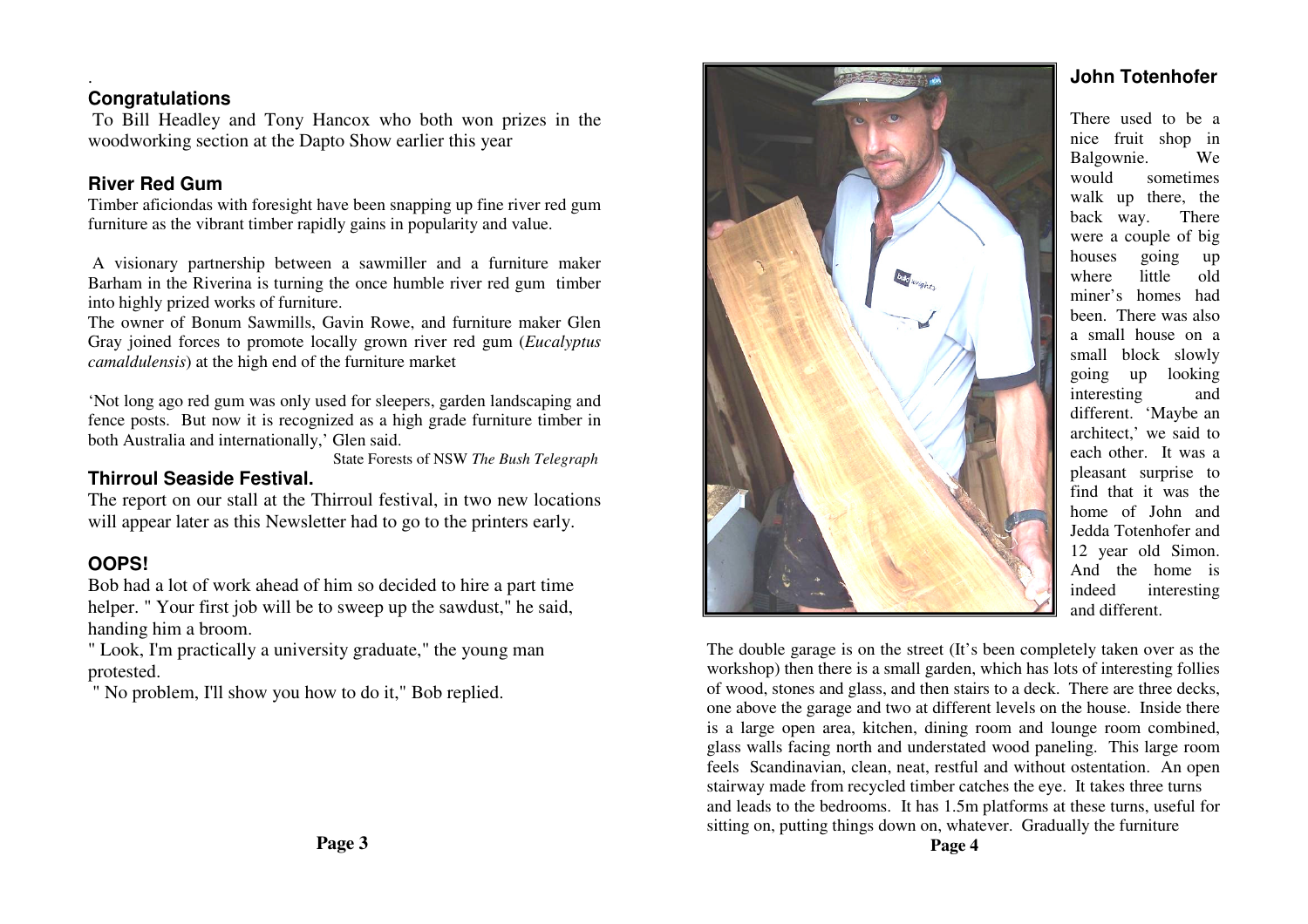# **Congratulations**

.

 To Bill Headley and Tony Hancox who both won prizes in the woodworking section at the Dapto Show earlier this year

# **River Red Gum**

 Timber aficiondas with foresight have been snapping up fine river red gum furniture as the vibrant timber rapidly gains in popularity and value.

 A visionary partnership between a sawmiller and a furniture maker Barham in the Riverina is turning the once humble river red gum timber into highly prized works of furniture.

 The owner of Bonum Sawmills, Gavin Rowe, and furniture maker Glen Gray joined forces to promote locally grown river red gum (*Eucalyptus camaldulensis*) at the high end of the furniture market

'Not long ago red gum was only used for sleepers, garden landscaping and fence posts. But now it is recognized as a high grade furniture timber in both Australia and internationally,' Glen said.

State Forests of NSW *The Bush Telegraph*

# **Thirroul Seaside Festival.**

 The report on our stall at the Thirroul festival, in two new locations will appear later as this Newsletter had to go to the printers early.

# **OOPS!**

 Bob had a lot of work ahead of him so decided to hire a part time helper. " Your first job will be to sweep up the sawdust," he said, handing him a broom.

 " Look, I'm practically a university graduate," the young man protested.

" No problem, I'll show you how to do it," Bob replied.



#### **John Totenhofer**

There used to be a nice fruit shop in Balgownie. We would sometimes walk up there, the back way. There were a couple of big houses going up where little old miner's homes had been. There was also a small house on a small block slowly going up looking interesting and different. 'Maybe an architect,' we said to each other. It was a pleasant surprise to find that it was the home of John and Jedda Totenhofer and 12 year old Simon. And the home is indeed interesting and different.

The double garage is on the street (It's been completely taken over as the workshop) then there is a small garden, which has lots of interesting follies of wood, stones and glass, and then stairs to a deck. There are three decks, one above the garage and two at different levels on the house. Inside there is a large open area, kitchen, dining room and lounge room combined, glass walls facing north and understated wood paneling. This large room feels Scandinavian, clean, neat, restful and without ostentation. An open stairway made from recycled timber catches the eye. It takes three turns and leads to the bedrooms. It has 1.5m platforms at these turns, useful for sitting on, putting things down on, whatever. Gradually the furniture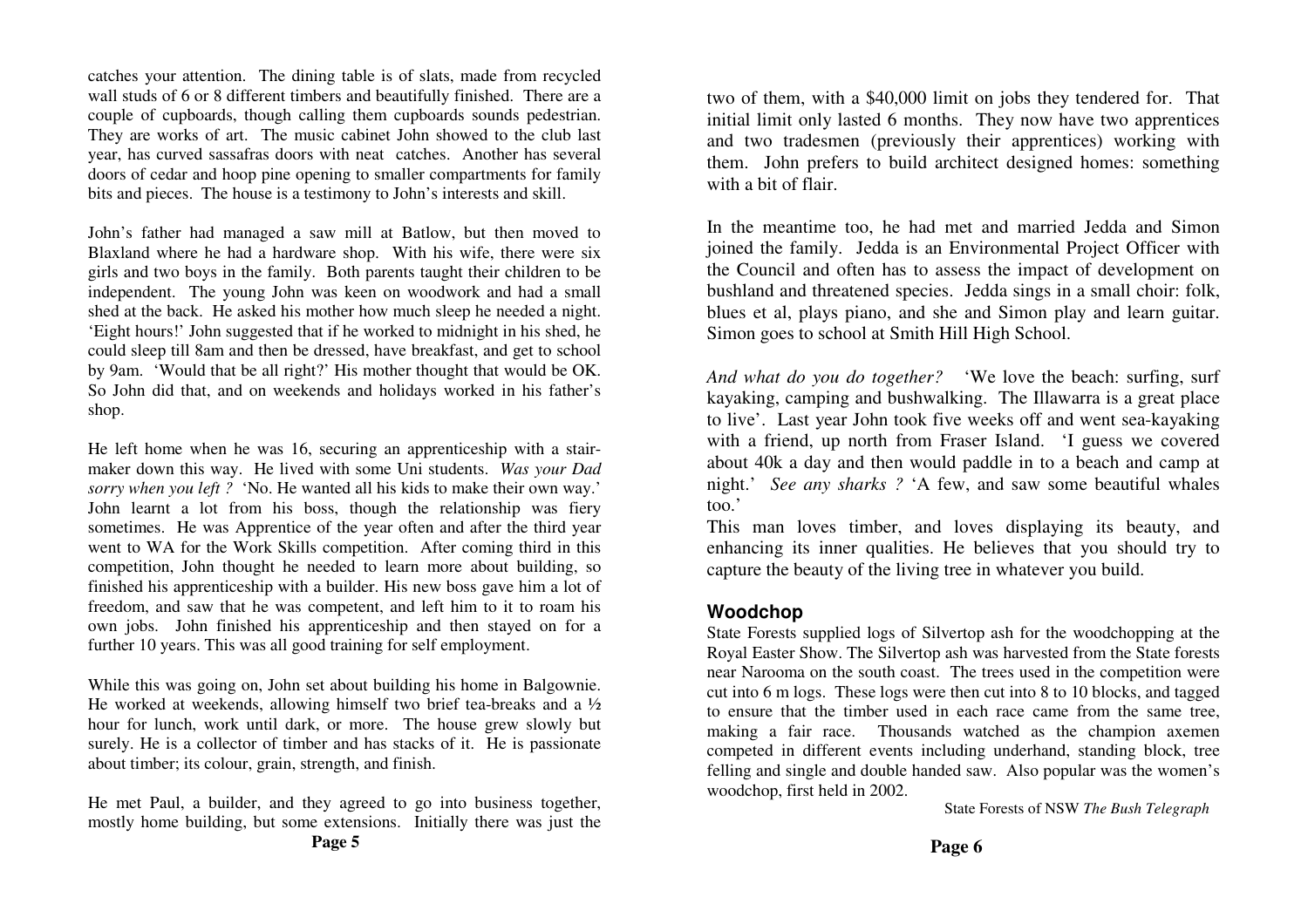catches your attention. The dining table is of slats, made from recycled wall studs of 6 or 8 different timbers and beautifully finished. There are a couple of cupboards, though calling them cupboards sounds pedestrian. They are works of art. The music cabinet John showed to the club last year, has curved sassafras doors with neat catches. Another has several doors of cedar and hoop pine opening to smaller compartments for family bits and pieces. The house is a testimony to John's interests and skill.

John's father had managed a saw mill at Batlow, but then moved to Blaxland where he had a hardware shop. With his wife, there were six girls and two boys in the family. Both parents taught their children to be independent. The young John was keen on woodwork and had a small shed at the back. He asked his mother how much sleep he needed a night. 'Eight hours!' John suggested that if he worked to midnight in his shed, he could sleep till 8am and then be dressed, have breakfast, and get to school by 9am. 'Would that be all right?' His mother thought that would be OK. So John did that, and on weekends and holidays worked in his father's shop.

He left home when he was 16, securing an apprenticeship with a stairmaker down this way. He lived with some Uni students. *Was your Dad sorry when you left ?* 'No. He wanted all his kids to make their own way.' John learnt a lot from his boss, though the relationship was fiery sometimes. He was Apprentice of the year often and after the third year went to WA for the Work Skills competition. After coming third in this competition, John thought he needed to learn more about building, so finished his apprenticeship with a builder. His new boss gave him a lot of freedom, and saw that he was competent, and left him to it to roam his own jobs. John finished his apprenticeship and then stayed on for a further 10 years. This was all good training for self employment.

While this was going on, John set about building his home in Balgownie. He worked at weekends, allowing himself two brief tea-breaks and a  $\frac{1}{2}$  hour for lunch, work until dark, or more. The house grew slowly but surely. He is a collector of timber and has stacks of it. He is passionate about timber; its colour, grain, strength, and finish.

He met Paul, a builder, and they agreed to go into business together, mostly home building, but some extensions. Initially there was just the two of them, with a \$40,000 limit on jobs they tendered for. That initial limit only lasted 6 months. They now have two apprentices and two tradesmen (previously their apprentices) working with them. John prefers to build architect designed homes: something with a bit of flair.

In the meantime too, he had met and married Jedda and Simon joined the family. Jedda is an Environmental Project Officer with the Council and often has to assess the impact of development on bushland and threatened species. Jedda sings in a small choir: folk, blues et al, plays piano, and she and Simon play and learn guitar. Simon goes to school at Smith Hill High School.

*And what do you do together?* 'We love the beach: surfing, surf kayaking, camping and bushwalking. The Illawarra is a great place to live'. Last year John took five weeks off and went sea-kayaking with a friend, up north from Fraser Island. 'I guess we covered about 40k a day and then would paddle in to a beach and camp at night.' *See any sharks ?* 'A few, and saw some beautiful whales too.'

 This man loves timber, and loves displaying its beauty, and enhancing its inner qualities. He believes that you should try to capture the beauty of the living tree in whatever you build.

#### **Woodchop**

 State Forests supplied logs of Silvertop ash for the woodchopping at the Royal Easter Show. The Silvertop ash was harvested from the State forests near Narooma on the south coast. The trees used in the competition were cut into 6 m logs. These logs were then cut into 8 to 10 blocks, and tagged to ensure that the timber used in each race came from the same tree, making a fair race. Thousands watched as the champion axemen competed in different events including underhand, standing block, tree felling and single and double handed saw. Also popular was the women's woodchop, first held in 2002.

State Forests of NSW *The Bush Telegraph*